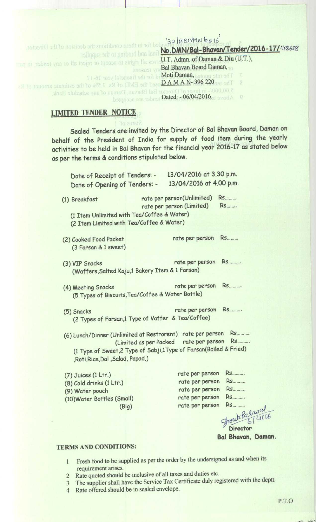$132|BBDMN/2016|$ ed for in these conditions the decision of the Director. **No DMN**/**Bal-Bhavan**/**Tender**/**2016**- **17/(i'26sg** final and binding to the supplier U.T. Admn. of Daman & Diu (U.T.), rves all rights to accept or reject all or any tender, in part **Bal Bhavan Board Daman,** The rate quoted, **Moti Daman, be financial** year 16-17. The ten 022 396-VA MAN Gosed the EMD of Rs. 2.5% of the estimate amount of Rs. 况 **Dated**: - 06/04/2016.

## LIMITED TENDER NOTICE

Sealed Tenders are invited by the Director of **Bal Bhavan** Board, Daman on behalf of the President of India for supply of food item during the yearly activities to be held **in Bal Bhovan** for the financial year 2016-17 as stated below as per the terms & conditions stipulated below.

| Date of Receipt of Tenders: -<br>Date of Opening of Tenders: -                                                                                                         | 13/04/2016 at 3.30 p.m.<br>13/04/2016 at 4.00 p.m.                                          |                                                                                   |
|------------------------------------------------------------------------------------------------------------------------------------------------------------------------|---------------------------------------------------------------------------------------------|-----------------------------------------------------------------------------------|
| (1) Breakfast<br>(1 Item Unlimited with Tea/Coffee & Water)<br>(2 Item Limited with Tea/Coffee & Water)                                                                | rate per person(Unlimited)<br>rate per person (Limited)                                     | <b>Rs</b><br><b>Rs</b>                                                            |
| (2) Cooked Food Packet<br>(3 Farsan & 1 sweet)                                                                                                                         | rate per person Rs                                                                          |                                                                                   |
| (3) VIP Snacks<br>(Waffers, Salted Kaju, 1 Bakery Item & 1 Farsan)                                                                                                     | rate per person Rs                                                                          |                                                                                   |
| (4) Meeting Snacks<br>(5 Types of Biscuits, Tea/Coffee & Water Bottle)                                                                                                 | rate per person Rs                                                                          |                                                                                   |
| (5) Snacks<br>(2 Types of Farsan,1 Type of Vaffer & Tea/Coffee)                                                                                                        | rate per person Rs                                                                          |                                                                                   |
| (6) Lunch/Dinner (Unlimited at Restrorent) rate per person Rs<br>(1 Type of Sweet, 2 Type of Sabji, 1 Type of Farsan (Boiled & Fried)<br>,Roti,Rice,Dal,Salad, Papad,) | (Limited as per Packed rate per person Rs                                                   |                                                                                   |
| $(7)$ Juices $(1 Ltr.)$<br>(8) Cold drinks (1 Ltr.)<br>(9) Water pouch<br>(10) Water Bottles (Small)<br>(Biq)                                                          | rate per person<br>rate per person<br>rate per person<br>rate per person<br>rate per person | <b>RS</b><br><b>Rs</b><br><b>Rs</b><br><b>Rs</b><br><b>Rs</b><br>Christip Paliwal |

**Director Bal Bhavan** , **Daman.**

## **TERMS AND CONDITIONS:**

- I Fresh food **to be supplied as per the order by the undersigned as and when its requirement arises.**
- **2 Rate quoted should be inclusive of all taxes and duties etc.**
- 3 The supplier **shall have** the Service Tax Certificate **duly registered** with the deptt.
- 4 Rate offered **should be in sealed envelope.**